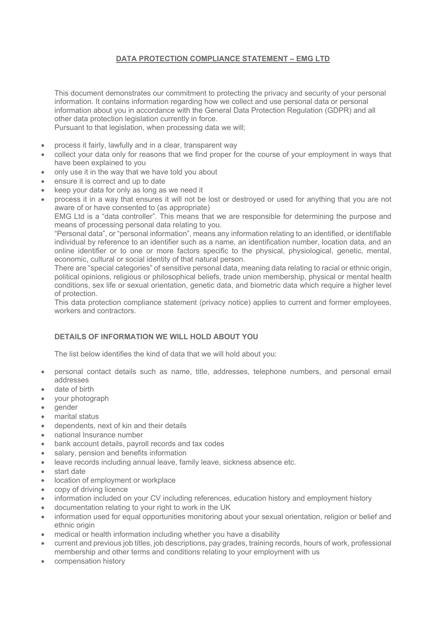# **DATA PROTECTION COMPLIANCE STATEMENT – EMG LTD**

This document demonstrates our commitment to protecting the privacy and security of your personal information. It contains information regarding how we collect and use personal data or personal information about you in accordance with the General Data Protection Regulation (GDPR) and all other data protection legislation currently in force.

Pursuant to that legislation, when processing data we will;

- process it fairly, lawfully and in a clear, transparent way
- collect your data only for reasons that we find proper for the course of your employment in ways that have been explained to you
- only use it in the way that we have told you about
- ensure it is correct and up to date
- keep your data for only as long as we need it
- process it in a way that ensures it will not be lost or destroyed or used for anything that you are not aware of or have consented to (as appropriate)

EMG Ltd is a "data controller". This means that we are responsible for determining the purpose and means of processing personal data relating to you.

"Personal data", or "personal information", means any information relating to an identified, or identifiable individual by reference to an identifier such as a name, an identification number, location data, and an online identifier or to one or more factors specific to the physical, physiological, genetic, mental, economic, cultural or social identity of that natural person.

There are "special categories" of sensitive personal data, meaning data relating to racial or ethnic origin, political opinions, religious or philosophical beliefs, trade union membership, physical or mental health conditions, sex life or sexual orientation, genetic data, and biometric data which require a higher level of protection.

This data protection compliance statement (privacy notice) applies to current and former employees, workers and contractors.

# **DETAILS OF INFORMATION WE WILL HOLD ABOUT YOU**

The list below identifies the kind of data that we will hold about you:

- personal contact details such as name, title, addresses, telephone numbers, and personal email addresses
- date of birth
- your photograph
- gender
- marital status
- dependents, next of kin and their details
- national Insurance number
- bank account details, payroll records and tax codes
- salary, pension and benefits information
- leave records including annual leave, family leave, sickness absence etc.
- start date
- location of employment or workplace
- copy of driving licence
- information included on your CV including references, education history and employment history
- documentation relating to your right to work in the UK
- information used for equal opportunities monitoring about your sexual orientation, religion or belief and ethnic origin
- medical or health information including whether you have a disability
- current and previous job titles, job descriptions, pay grades, training records, hours of work, professional membership and other terms and conditions relating to your employment with us
- compensation history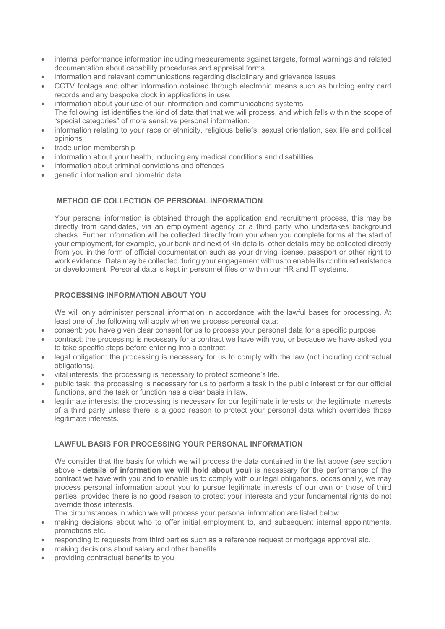- internal performance information including measurements against targets, formal warnings and related documentation about capability procedures and appraisal forms
- information and relevant communications regarding disciplinary and grievance issues
- CCTV footage and other information obtained through electronic means such as building entry card records and any bespoke clock in applications in use.
- information about your use of our information and communications systems The following list identifies the kind of data that that we will process, and which falls within the scope of "special categories" of more sensitive personal information:
- information relating to your race or ethnicity, religious beliefs, sexual orientation, sex life and political opinions
- trade union membership
- information about your health, including any medical conditions and disabilities
- information about criminal convictions and offences
- genetic information and biometric data

# **METHOD OF COLLECTION OF PERSONAL INFORMATION**

Your personal information is obtained through the application and recruitment process, this may be directly from candidates, via an employment agency or a third party who undertakes background checks. Further information will be collected directly from you when you complete forms at the start of your employment, for example, your bank and next of kin details. other details may be collected directly from you in the form of official documentation such as your driving license, passport or other right to work evidence. Data may be collected during your engagement with us to enable its continued existence or development. Personal data is kept in personnel files or within our HR and IT systems.

## **PROCESSING INFORMATION ABOUT YOU**

We will only administer personal information in accordance with the lawful bases for processing. At least one of the following will apply when we process personal data:

- consent: you have given clear consent for us to process your personal data for a specific purpose.
- contract: the processing is necessary for a contract we have with you, or because we have asked you to take specific steps before entering into a contract.
- legal obligation: the processing is necessary for us to comply with the law (not including contractual obligations).
- vital interests: the processing is necessary to protect someone's life.
- public task: the processing is necessary for us to perform a task in the public interest or for our official functions, and the task or function has a clear basis in law.
- legitimate interests: the processing is necessary for our legitimate interests or the legitimate interests of a third party unless there is a good reason to protect your personal data which overrides those legitimate interests.

# **LAWFUL BASIS FOR PROCESSING YOUR PERSONAL INFORMATION**

We consider that the basis for which we will process the data contained in the list above (see section above - **details of information we will hold about you**) is necessary for the performance of the contract we have with you and to enable us to comply with our legal obligations. occasionally, we may process personal information about you to pursue legitimate interests of our own or those of third parties, provided there is no good reason to protect your interests and your fundamental rights do not override those interests.

The circumstances in which we will process your personal information are listed below.

- making decisions about who to offer initial employment to, and subsequent internal appointments, promotions etc.
- responding to requests from third parties such as a reference request or mortgage approval etc.
- making decisions about salary and other benefits
- providing contractual benefits to you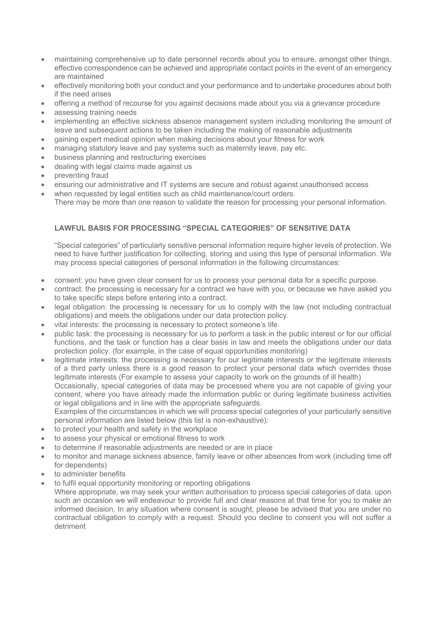- maintaining comprehensive up to date personnel records about you to ensure, amongst other things, effective correspondence can be achieved and appropriate contact points in the event of an emergency are maintained
- effectively monitoring both your conduct and your performance and to undertake procedures about both if the need arises
- offering a method of recourse for you against decisions made about you via a grievance procedure
- assessing training needs
- implementing an effective sickness absence management system including monitoring the amount of leave and subsequent actions to be taken including the making of reasonable adjustments
- gaining expert medical opinion when making decisions about your fitness for work
- managing statutory leave and pay systems such as maternity leave, pay etc.
- business planning and restructuring exercises
- dealing with legal claims made against us
- preventing fraud
- ensuring our administrative and IT systems are secure and robust against unauthorised access
- when requested by legal entities such as child maintenance/court orders. There may be more than one reason to validate the reason for processing your personal information.

# **LAWFUL BASIS FOR PROCESSING "SPECIAL CATEGORIES" OF SENSITIVE DATA**

"Special categories" of particularly sensitive personal information require higher levels of protection. We need to have further justification for collecting, storing and using this type of personal information. We may process special categories of personal information in the following circumstances:

- consent: you have given clear consent for us to process your personal data for a specific purpose.
- contract: the processing is necessary for a contract we have with you, or because we have asked you to take specific steps before entering into a contract.
- legal obligation: the processing is necessary for us to comply with the law (not including contractual obligations) and meets the obligations under our data protection policy.
- vital interests: the processing is necessary to protect someone's life.
- public task: the processing is necessary for us to perform a task in the public interest or for our official functions, and the task or function has a clear basis in law and meets the obligations under our data protection policy. (for example, in the case of equal opportunities monitoring)
- legitimate interests: the processing is necessary for our legitimate interests or the legitimate interests of a third party unless there is a good reason to protect your personal data which overrides those legitimate interests (For example to assess your capacity to work on the grounds of ill health) Occasionally, special categories of data may be processed where you are not capable of giving your consent, where you have already made the information public or during legitimate business activities or legal obligations and in line with the appropriate safeguards.

Examples of the circumstances in which we will process special categories of your particularly sensitive personal information are listed below (this list is non-exhaustive):

- to protect your health and safety in the workplace
- to assess your physical or emotional fitness to work
- to determine if reasonable adjustments are needed or are in place
- to monitor and manage sickness absence, family leave or other absences from work (including time off for dependents)
- to administer benefits
- to fulfil equal opportunity monitoring or reporting obligations

Where appropriate, we may seek your written authorisation to process special categories of data. upon such an occasion we will endeavour to provide full and clear reasons at that time for you to make an informed decision. In any situation where consent is sought, please be advised that you are under no contractual obligation to comply with a request. Should you decline to consent you will not suffer a detriment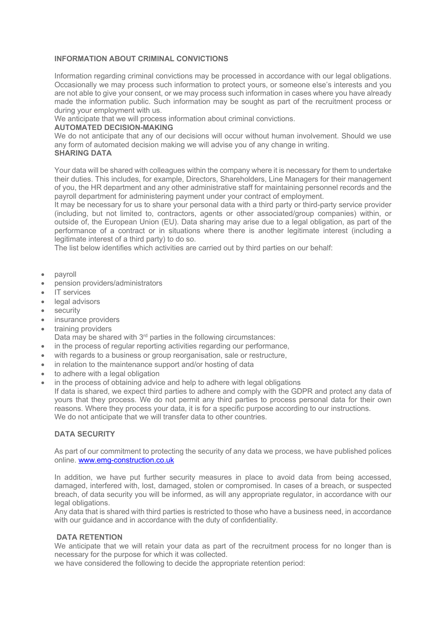#### **INFORMATION ABOUT CRIMINAL CONVICTIONS**

Information regarding criminal convictions may be processed in accordance with our legal obligations. Occasionally we may process such information to protect yours, or someone else's interests and you are not able to give your consent, or we may process such information in cases where you have already made the information public. Such information may be sought as part of the recruitment process or during your employment with us.

We anticipate that we will process information about criminal convictions.

### **AUTOMATED DECISION-MAKING**

We do not anticipate that any of our decisions will occur without human involvement. Should we use any form of automated decision making we will advise you of any change in writing. **SHARING DATA**

Your data will be shared with colleagues within the company where it is necessary for them to undertake their duties. This includes, for example, Directors, Shareholders, Line Managers for their management of you, the HR department and any other administrative staff for maintaining personnel records and the payroll department for administering payment under your contract of employment.

It may be necessary for us to share your personal data with a third party or third-party service provider (including, but not limited to, contractors, agents or other associated/group companies) within, or outside of, the European Union (EU). Data sharing may arise due to a legal obligation, as part of the performance of a contract or in situations where there is another legitimate interest (including a legitimate interest of a third party) to do so.

The list below identifies which activities are carried out by third parties on our behalf:

- payroll
- pension providers/administrators
- IT services
- legal advisors
- security
- insurance providers
- training providers
	- Data may be shared with  $3<sup>rd</sup>$  parties in the following circumstances:
- in the process of regular reporting activities regarding our performance,
- with regards to a business or group reorganisation, sale or restructure,
- in relation to the maintenance support and/or hosting of data
- to adhere with a legal obligation
- in the process of obtaining advice and help to adhere with legal obligations

If data is shared, we expect third parties to adhere and comply with the GDPR and protect any data of yours that they process. We do not permit any third parties to process personal data for their own reasons. Where they process your data, it is for a specific purpose according to our instructions. We do not anticipate that we will transfer data to other countries.

## **DATA SECURITY**

As part of our commitment to protecting the security of any data we process, we have published polices online. www.emg-construction.co.uk

In addition, we have put further security measures in place to avoid data from being accessed, damaged, interfered with, lost, damaged, stolen or compromised. In cases of a breach, or suspected breach, of data security you will be informed, as will any appropriate regulator, in accordance with our legal obligations.

Any data that is shared with third parties is restricted to those who have a business need, in accordance with our guidance and in accordance with the duty of confidentiality.

#### **DATA RETENTION**

We anticipate that we will retain your data as part of the recruitment process for no longer than is necessary for the purpose for which it was collected.

we have considered the following to decide the appropriate retention period: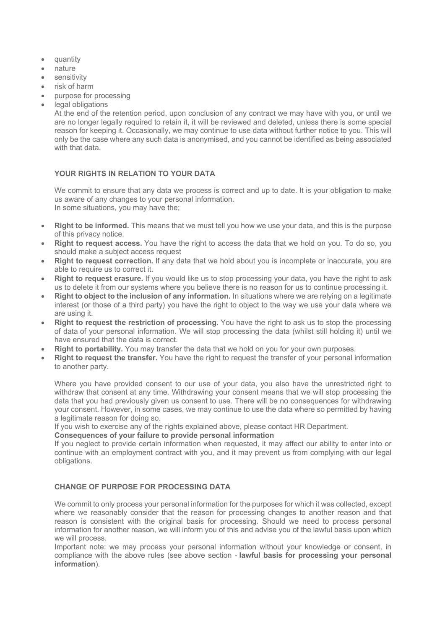- quantity
- nature
- sensitivity
- risk of harm
- purpose for processing
- legal obligations

At the end of the retention period, upon conclusion of any contract we may have with you, or until we are no longer legally required to retain it, it will be reviewed and deleted, unless there is some special reason for keeping it. Occasionally, we may continue to use data without further notice to you. This will only be the case where any such data is anonymised, and you cannot be identified as being associated with that data

#### **YOUR RIGHTS IN RELATION TO YOUR DATA**

We commit to ensure that any data we process is correct and up to date. It is your obligation to make us aware of any changes to your personal information. In some situations, you may have the;

- **Right to be informed.** This means that we must tell you how we use your data, and this is the purpose of this privacy notice.
- **Right to request access.** You have the right to access the data that we hold on you. To do so, you should make a subject access request
- **Right to request correction.** If any data that we hold about you is incomplete or inaccurate, you are able to require us to correct it.
- **Right to request erasure.** If you would like us to stop processing your data, you have the right to ask us to delete it from our systems where you believe there is no reason for us to continue processing it.
- **Right to object to the inclusion of any information.** In situations where we are relying on a legitimate interest (or those of a third party) you have the right to object to the way we use your data where we are using it.
- **Right to request the restriction of processing.** You have the right to ask us to stop the processing of data of your personal information. We will stop processing the data (whilst still holding it) until we have ensured that the data is correct.
- **Right to portability.** You may transfer the data that we hold on you for your own purposes.
- **Right to request the transfer.** You have the right to request the transfer of your personal information to another party.

Where you have provided consent to our use of your data, you also have the unrestricted right to withdraw that consent at any time. Withdrawing your consent means that we will stop processing the data that you had previously given us consent to use. There will be no consequences for withdrawing your consent. However, in some cases, we may continue to use the data where so permitted by having a legitimate reason for doing so.

If you wish to exercise any of the rights explained above, please contact HR Department.

#### **Consequences of your failure to provide personal information**

If you neglect to provide certain information when requested, it may affect our ability to enter into or continue with an employment contract with you, and it may prevent us from complying with our legal obligations.

# **CHANGE OF PURPOSE FOR PROCESSING DATA**

We commit to only process your personal information for the purposes for which it was collected, except where we reasonably consider that the reason for processing changes to another reason and that reason is consistent with the original basis for processing. Should we need to process personal information for another reason, we will inform you of this and advise you of the lawful basis upon which we will process.

Important note: we may process your personal information without your knowledge or consent, in compliance with the above rules (see above section - **lawful basis for processing your personal information**).